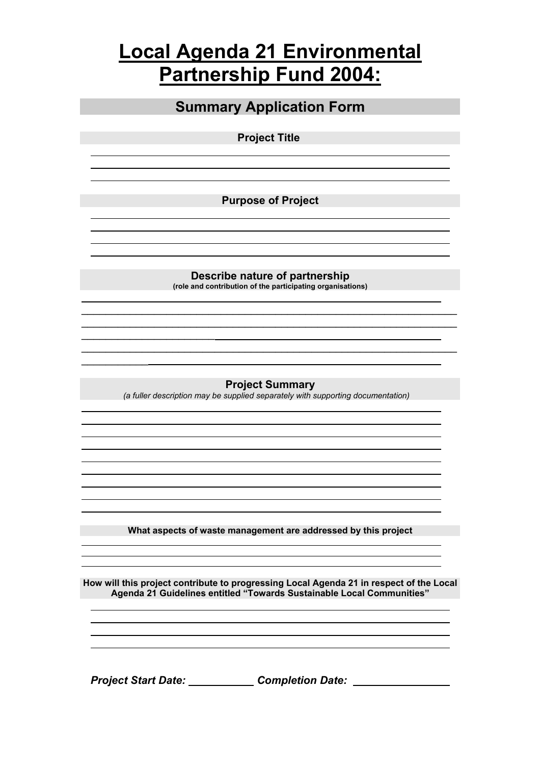## **Local Agenda 21 Environmental Partnership Fund 2004:**

| <b>Summary Application Form</b>                                                                                                                                  |  |  |
|------------------------------------------------------------------------------------------------------------------------------------------------------------------|--|--|
| <b>Project Title</b>                                                                                                                                             |  |  |
|                                                                                                                                                                  |  |  |
| <b>Purpose of Project</b>                                                                                                                                        |  |  |
|                                                                                                                                                                  |  |  |
|                                                                                                                                                                  |  |  |
| Describe nature of partnership<br>(role and contribution of the participating organisations)                                                                     |  |  |
|                                                                                                                                                                  |  |  |
|                                                                                                                                                                  |  |  |
| <b>Project Summary</b>                                                                                                                                           |  |  |
| (a fuller description may be supplied separately with supporting documentation)                                                                                  |  |  |
|                                                                                                                                                                  |  |  |
|                                                                                                                                                                  |  |  |
|                                                                                                                                                                  |  |  |
| What aspects of waste management are addressed by this project                                                                                                   |  |  |
|                                                                                                                                                                  |  |  |
| How will this project contribute to progressing Local Agenda 21 in respect of the Local<br>Agenda 21 Guidelines entitled "Towards Sustainable Local Communities" |  |  |
|                                                                                                                                                                  |  |  |
|                                                                                                                                                                  |  |  |
| Project Start Date: Completion Date: Notelled Start Date:                                                                                                        |  |  |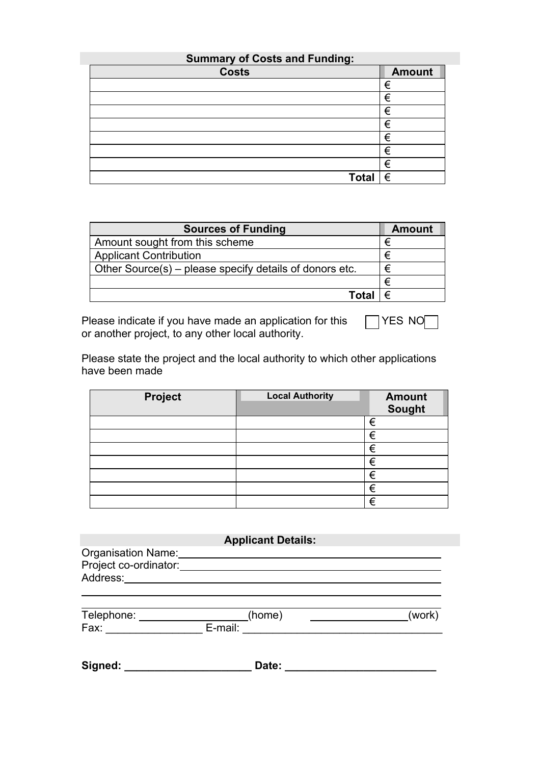| <b>Summary of Costs and Funding:</b> |               |  |
|--------------------------------------|---------------|--|
| <b>Costs</b>                         | <b>Amount</b> |  |
|                                      | €             |  |
|                                      | €             |  |
|                                      | €             |  |
|                                      | €             |  |
|                                      | €             |  |
|                                      | €             |  |
|                                      | €             |  |
| Total                                | €             |  |

| <b>Sources of Funding</b>                               | <b>Amount</b> |
|---------------------------------------------------------|---------------|
| Amount sought from this scheme                          | €             |
| <b>Applicant Contribution</b>                           | €             |
| Other Source(s) – please specify details of donors etc. | €             |
|                                                         | €             |
| Tota                                                    |               |

Please indicate if you have made an application for this  $\Box$  YES NO or another project, to any other local authority.

Please state the project and the local authority to which other applications have been made

| <b>Project</b> | <b>Local Authority</b> | <b>Amount</b><br><b>Sought</b> |
|----------------|------------------------|--------------------------------|
|                |                        | €                              |
|                |                        | €                              |
|                |                        | €                              |
|                |                        | €                              |
|                |                        | €                              |
|                |                        | €                              |
|                |                        | €                              |

## **Applicant Details:**

| Organisation Name:    |  |
|-----------------------|--|
| Project co-ordinator: |  |
| Address:              |  |

| Telephone: | (home)  | (work |
|------------|---------|-------|
| Fax:       | E-mail: |       |

 $\overline{a}$ 

**Signed: \_\_\_\_\_\_\_\_\_\_\_\_\_\_\_\_\_\_\_\_\_ Date: \_\_\_\_\_\_\_\_\_\_\_\_\_\_\_\_\_\_\_\_\_\_\_\_\_**